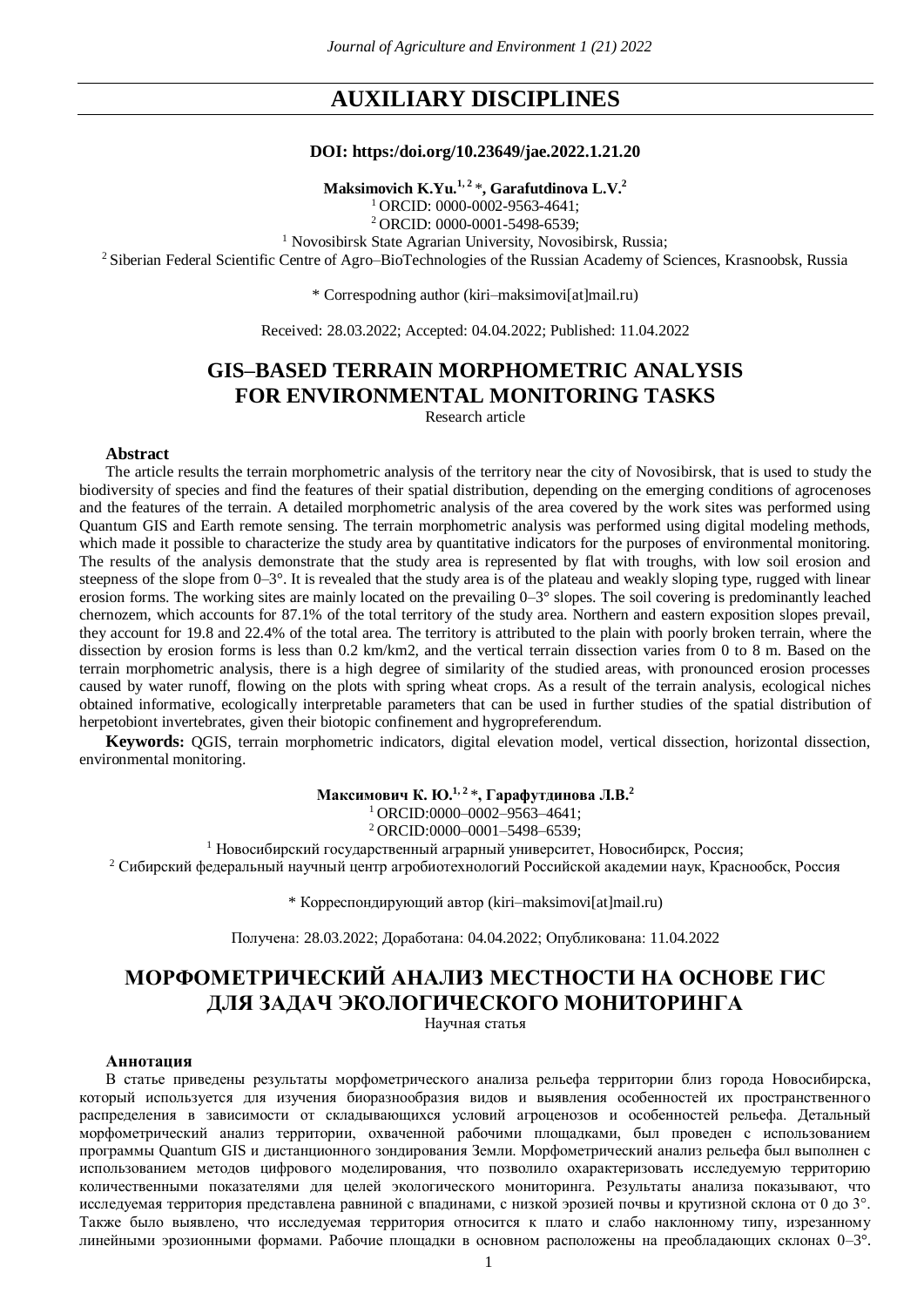# **AUXILIARY DISCIPLINES**

#### **DOI: https:/doi.org/10.23649/jae.2022.1.21.20**

**Maksimovich K.Yu.1, 2** \***, Garafutdinova L.V.<sup>2</sup>**

<sup>1</sup>ORCID: 0000-0002-9563-4641;

<sup>2</sup>ORCID: 0000-0001-5498-6539;

<sup>1</sup> Novosibirsk State Agrarian University, Novosibirsk, Russia;

<sup>2</sup> Siberian Federal Scientific Centre of Agro–BioTechnologies of the Russian Academy of Sciences, Krasnoobsk, Russia

\* Correspodning author (kiri–maksimovi[at]mail.ru)

Received: 28.03.2022; Accepted: 04.04.2022; Published: 11.04.2022

## **GIS–BASED TERRAIN MORPHOMETRIC ANALYSIS FOR ENVIRONMENTAL MONITORING TASKS**

Research article

### **Abstract**

The article results the terrain morphometric analysis of the territory near the city of Novosibirsk, that is used to study the biodiversity of species and find the features of their spatial distribution, depending on the emerging conditions of agrocenoses and the features of the terrain. A detailed morphometric analysis of the area covered by the work sites was performed using Quantum GIS and Earth remote sensing. The terrain morphometric analysis was performed using digital modeling methods, which made it possible to characterize the study area by quantitative indicators for the purposes of environmental monitoring. The results of the analysis demonstrate that the study area is represented by flat with troughs, with low soil erosion and steepness of the slope from  $0-3^{\circ}$ . It is revealed that the study area is of the plateau and weakly sloping type, rugged with linear erosion forms. The working sites are mainly located on the prevailing 0–3° slopes. The soil covering is predominantly leached chernozem, which accounts for 87.1% of the total territory of the study area. Northern and eastern exposition slopes prevail, they account for 19.8 and 22.4% of the total area. The territory is attributed to the plain with poorly broken terrain, where the dissection by erosion forms is less than 0.2 km/km2, and the vertical terrain dissection varies from 0 to 8 m. Based on the terrain morphometric analysis, there is a high degree of similarity of the studied areas, with pronounced erosion processes caused by water runoff, flowing on the plots with spring wheat crops. As a result of the terrain analysis, ecological niches obtained informative, ecologically interpretable parameters that can be used in further studies of the spatial distribution of herpetobiont invertebrates, given their biotopic confinement and hygropreferendum.

**Keywords:** QGIS, terrain morphometric indicators, digital elevation model, vertical dissection, horizontal dissection, environmental monitoring.

> **Максимович К. Ю.1, 2** \***, Гарафутдинова Л.В.<sup>2</sup>**  $1$ ORCID:0000–0002–9563–4641;

<sup>2</sup> ORCID:0000-0001-5498-6539;

<sup>1</sup> Новосибирский государственный аграрный университет, Новосибирск, Россия;

<sup>2</sup> Сибирский федеральный научный центр агробиотехнологий Российской академии наук, Краснообск, Россия

\* Корреспондирующий автор (kiri–maksimovi[at]mail.ru)

Получена: 28.03.2022; Доработана: 04.04.2022; Опубликована: 11.04.2022

# **МОРФОМЕТРИЧЕСКИЙ АНАЛИЗ МЕСТНОСТИ НА ОСНОВЕ ГИС ДЛЯ ЗАДАЧ ЭКОЛОГИЧЕСКОГО МОНИТОРИНГА**

Научная статья

#### **Аннотация**

В статье приведены результаты морфометрического анализа рельефа территории близ города Новосибирска, который используется для изучения биоразнообразия видов и выявления особенностей их пространственного распределения в зависимости от складывающихся условий агроценозов и особенностей рельефа. Детальный морфометрический анализ территории, охваченной рабочими площадками, был проведен с использованием программы Quantum GIS и дистанционного зондирования Земли. Морфометрический анализ рельефа был выполнен с использованием методов цифрового моделирования, что позволило охарактеризовать исследуемую территорию количественными показателями для целей экологического мониторинга. Результаты анализа показывают, что исследуемая территория представлена равниной с впадинами, с низкой эрозией почвы и крутизной склона от 0 до 3°. Также было выявлено, что исследуемая территория относится к плато и слабо наклонному типу, изрезанному линейными эрозионными формами. Рабочие площадки в основном расположены на преобладающих склонах 0–3°.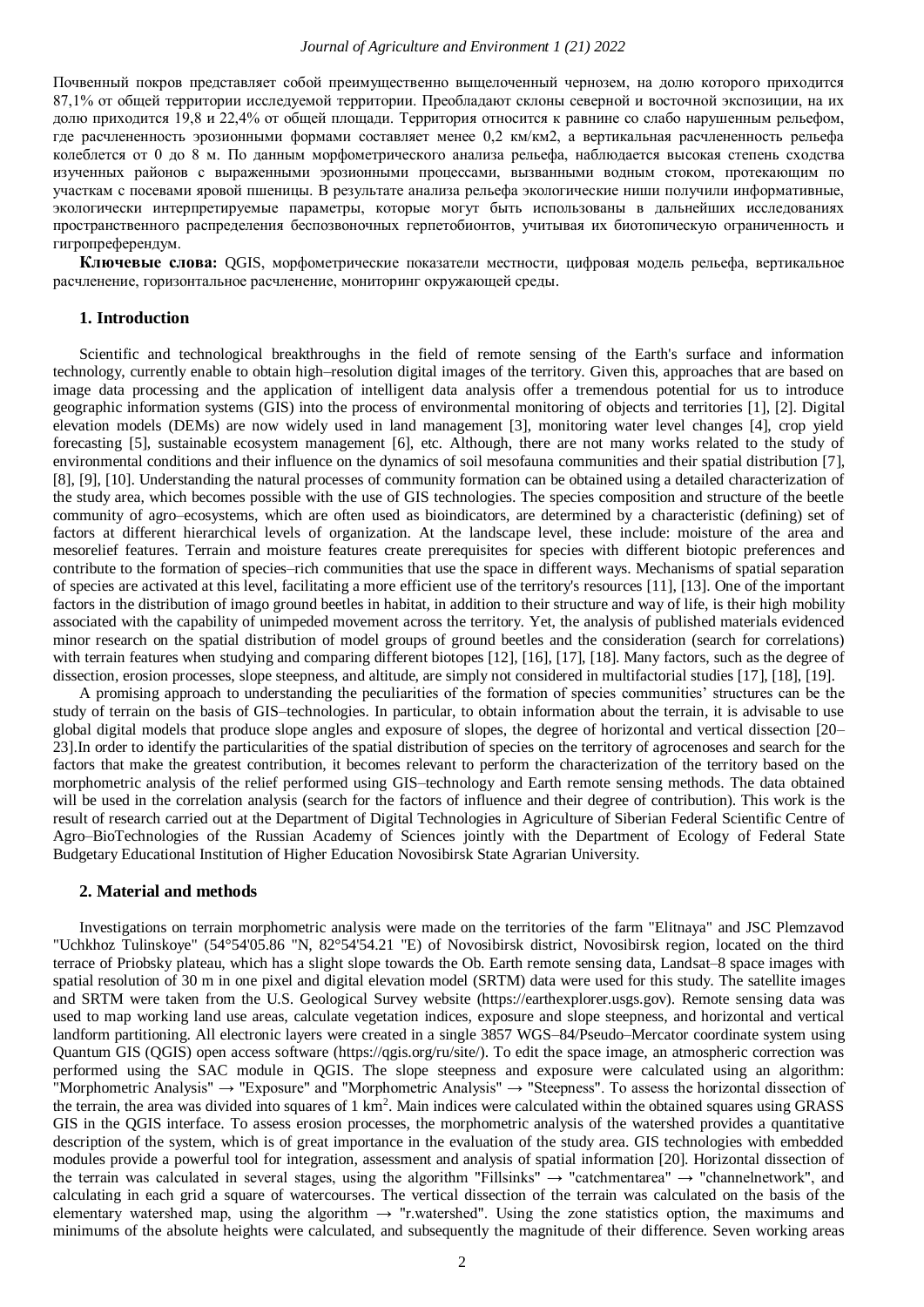Почвенный покров представляет собой преимущественно выщелоченный чернозем, на долю которого приходится 87,1% от общей территории исследуемой территории. Преобладают склоны северной и восточной экспозиции, на их долю приходится 19,8 и 22,4% от общей площади. Территория относится к равнине со слабо нарушенным рельефом, где расчлененность эрозионными формами составляет менее 0,2 км/км2, а вертикальная расчлененность рельефа колеблется от 0 до 8 м. По данным морфометрического анализа рельефа, наблюдается высокая степень сходства изученных районов с выраженными эрозионными процессами, вызванными водным стоком, протекающим по участкам с посевами яровой пшеницы. В результате анализа рельефа экологические ниши получили информативные, экологически интерпретируемые параметры, которые могут быть использованы в дальнейших исследованиях пространственного распределения беспозвоночных герпетобионтов, учитывая их биотопическую ограниченность и гигропреферендум.

**Ключевые слова:** QGIS, морфометрические показатели местности, цифровая модель рельефа, вертикальное расчленение, горизонтальное расчленение, мониторинг окружающей среды.

#### **1. Introduction**

Scientific and technological breakthroughs in the field of remote sensing of the Earth's surface and information technology, currently enable to obtain high–resolution digital images of the territory. Given this, approaches that are based on image data processing and the application of intelligent data analysis offer a tremendous potential for us to introduce geographic information systems (GIS) into the process of environmental monitoring of objects and territories [1], [2]. Digital elevation models (DEMs) are now widely used in land management [3], monitoring water level changes [4], crop yield forecasting [5], sustainable ecosystem management [6], etc. Although, there are not many works related to the study of environmental conditions and their influence on the dynamics of soil mesofauna communities and their spatial distribution [7], [8], [9], [10]. Understanding the natural processes of community formation can be obtained using a detailed characterization of the study area, which becomes possible with the use of GIS technologies. The species composition and structure of the beetle community of agro–ecosystems, which are often used as bioindicators, are determined by a characteristic (defining) set of factors at different hierarchical levels of organization. At the landscape level, these include: moisture of the area and mesorelief features. Terrain and moisture features create prerequisites for species with different biotopic preferences and contribute to the formation of species–rich communities that use the space in different ways. Mechanisms of spatial separation of species are activated at this level, facilitating a more efficient use of the territory's resources [11], [13]. One of the important factors in the distribution of imago ground beetles in habitat, in addition to their structure and way of life, is their high mobility associated with the capability of unimpeded movement across the territory. Yet, the analysis of published materials evidenced minor research on the spatial distribution of model groups of ground beetles and the consideration (search for correlations) with terrain features when studying and comparing different biotopes [12], [16], [17], [18]. Many factors, such as the degree of dissection, erosion processes, slope steepness, and altitude, are simply not considered in multifactorial studies [17], [18], [19].

A promising approach to understanding the peculiarities of the formation of species communities' structures can be the study of terrain on the basis of GIS–technologies. In particular, to obtain information about the terrain, it is advisable to use global digital models that produce slope angles and exposure of slopes, the degree of horizontal and vertical dissection [20– 23].In order to identify the particularities of the spatial distribution of species on the territory of agrocenoses and search for the factors that make the greatest contribution, it becomes relevant to perform the characterization of the territory based on the morphometric analysis of the relief performed using GIS–technology and Earth remote sensing methods. The data obtained will be used in the correlation analysis (search for the factors of influence and their degree of contribution). This work is the result of research carried out at the Department of Digital Technologies in Agriculture of Siberian Federal Scientific Centre of Agro–BioTechnologies of the Russian Academy of Sciences jointly with the Department of Ecology of Federal State Budgetary Educational Institution of Higher Education Novosibirsk State Agrarian University.

#### **2. Material and methods**

Investigations on terrain morphometric analysis were made on the territories of the farm "Elitnaya" and JSC Plemzavod "Uchkhoz Tulinskoye" (54°54'05.86 "N, 82°54'54.21 "E) of Novosibirsk district, Novosibirsk region, located on the third terrace of Priobsky plateau, which has a slight slope towards the Ob. Earth remote sensing data, Landsat–8 space images with spatial resolution of 30 m in one pixel and digital elevation model (SRTM) data were used for this study. The satellite images and SRTM were taken from the U.S. Geological Survey website (https://earthexplorer.usgs.gov). Remote sensing data was used to map working land use areas, calculate vegetation indices, exposure and slope steepness, and horizontal and vertical landform partitioning. All electronic layers were created in a single 3857 WGS–84/Pseudo–Mercator coordinate system using Quantum GIS (QGIS) open access software (https://qgis.org/ru/site/). To edit the space image, an atmospheric correction was performed using the SAC module in QGIS. The slope steepness and exposure were calculated using an algorithm: "Morphometric Analysis" → "Exposure" and "Morphometric Analysis" → "Steepness". To assess the horizontal dissection of the terrain, the area was divided into squares of 1 km<sup>2</sup>. Main indices were calculated within the obtained squares using GRASS GIS in the QGIS interface. To assess erosion processes, the morphometric analysis of the watershed provides a quantitative description of the system, which is of great importance in the evaluation of the study area. GIS technologies with embedded modules provide a powerful tool for integration, assessment and analysis of spatial information [20]. Horizontal dissection of the terrain was calculated in several stages, using the algorithm "Fillsinks" → "catchmentarea" → "channelnetwork", and calculating in each grid a square of watercourses. The vertical dissection of the terrain was calculated on the basis of the elementary watershed map, using the algorithm  $\rightarrow$  "r.watershed". Using the zone statistics option, the maximums and minimums of the absolute heights were calculated, and subsequently the magnitude of their difference. Seven working areas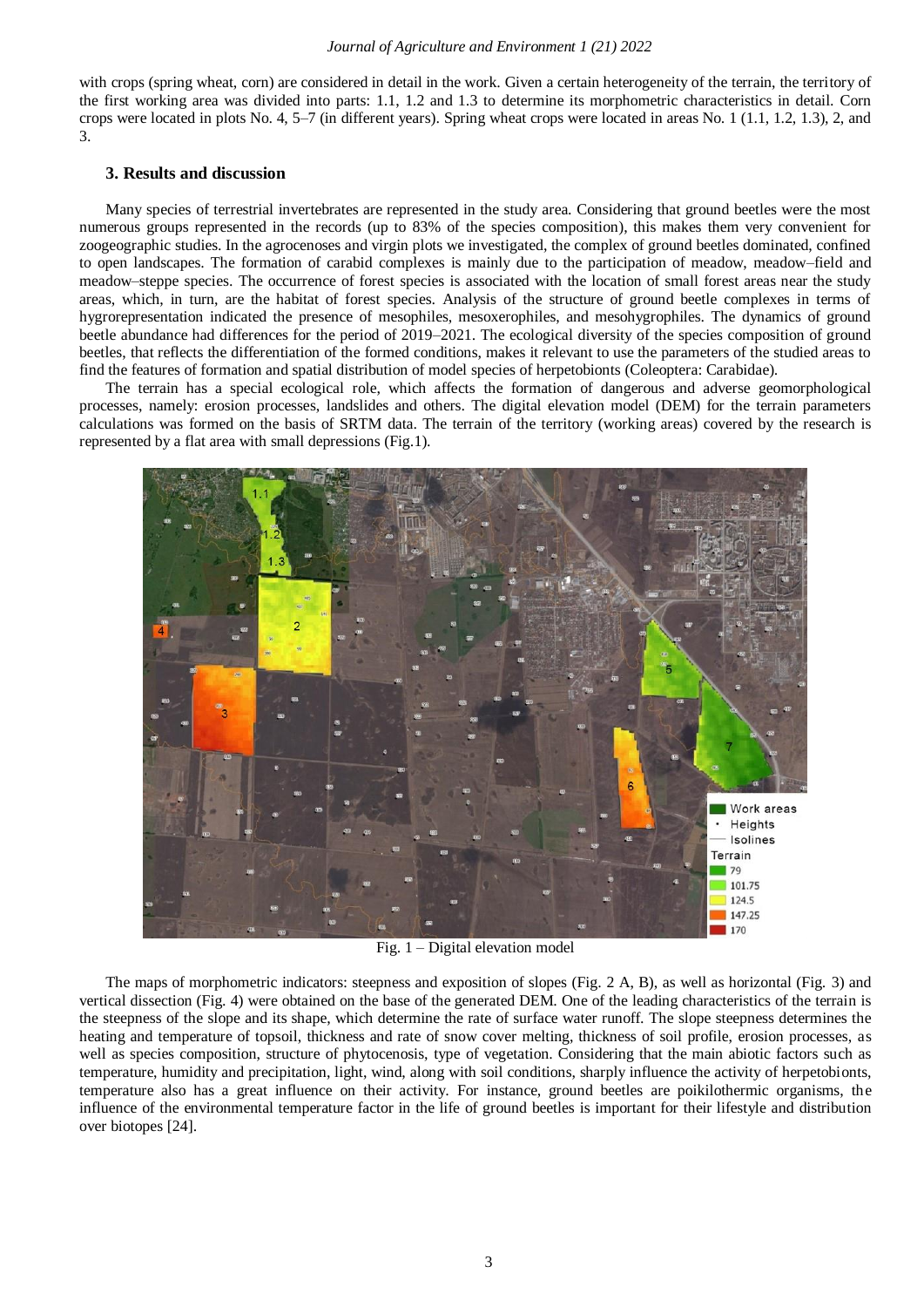with crops (spring wheat, corn) are considered in detail in the work. Given a certain heterogeneity of the terrain, the territory of the first working area was divided into parts: 1.1, 1.2 and 1.3 to determine its morphometric characteristics in detail. Corn crops were located in plots No. 4, 5–7 (in different years). Spring wheat crops were located in areas No. 1 (1.1, 1.2, 1.3), 2, and 3.

#### **3. Results and discussion**

Many species of terrestrial invertebrates are represented in the study area. Considering that ground beetles were the most numerous groups represented in the records (up to 83% of the species composition), this makes them very convenient for zoogeographic studies. In the agrocenoses and virgin plots we investigated, the complex of ground beetles dominated, confined to open landscapes. The formation of carabid complexes is mainly due to the participation of meadow, meadow–field and meadow–steppe species. The occurrence of forest species is associated with the location of small forest areas near the study areas, which, in turn, are the habitat of forest species. Analysis of the structure of ground beetle complexes in terms of hygrorepresentation indicated the presence of mesophiles, mesoxerophiles, and mesohygrophiles. The dynamics of ground beetle abundance had differences for the period of 2019–2021. The ecological diversity of the species composition of ground beetles, that reflects the differentiation of the formed conditions, makes it relevant to use the parameters of the studied areas to find the features of formation and spatial distribution of model species of herpetobionts (Coleoptera: Carabidae).

The terrain has a special ecological role, which affects the formation of dangerous and adverse geomorphological processes, namely: erosion processes, landslides and others. The digital elevation model (DEM) for the terrain parameters calculations was formed on the basis of SRTM data. The terrain of the territory (working areas) covered by the research is represented by a flat area with small depressions (Fig.1).



Fig. 1 – Digital elevation model

The maps of morphometric indicators: steepness and exposition of slopes (Fig. 2 A, B), as well as horizontal (Fig. 3) and vertical dissection (Fig. 4) were obtained on the base of the generated DEM. One of the leading characteristics of the terrain is the steepness of the slope and its shape, which determine the rate of surface water runoff. The slope steepness determines the heating and temperature of topsoil, thickness and rate of snow cover melting, thickness of soil profile, erosion processes, as well as species composition, structure of phytocenosis, type of vegetation. Considering that the main abiotic factors such as temperature, humidity and precipitation, light, wind, along with soil conditions, sharply influence the activity of herpetobionts, temperature also has a great influence on their activity. For instance, ground beetles are poikilothermic organisms, the influence of the environmental temperature factor in the life of ground beetles is important for their lifestyle and distribution over biotopes [24].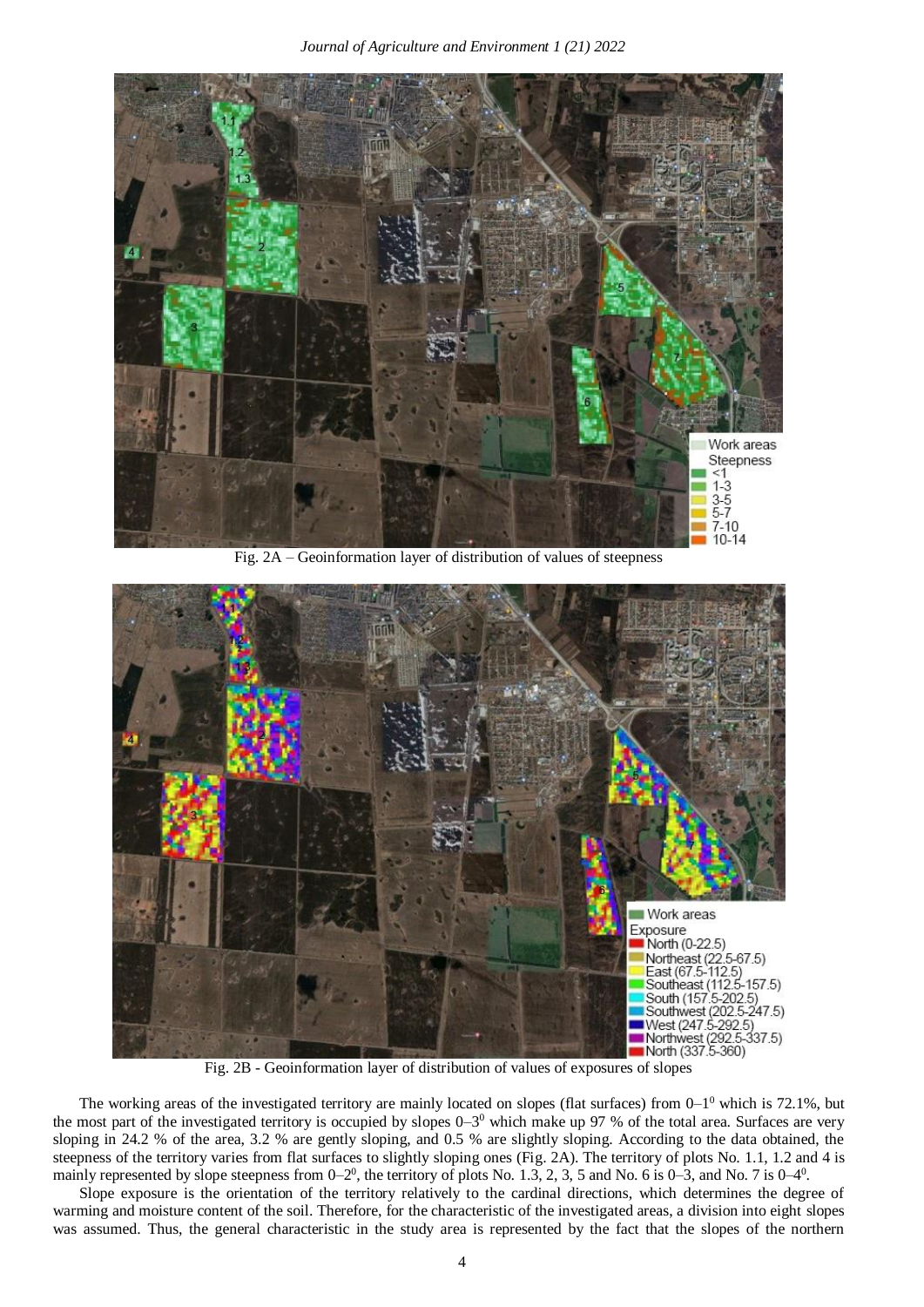

Fig. 2A – Geoinformation layer of distribution of values of steepness



Fig. 2B - Geoinformation layer of distribution of values of exposures of slopes

The working areas of the investigated territory are mainly located on slopes (flat surfaces) from  $0-1^0$  which is 72.1%, but the most part of the investigated territory is occupied by slopes  $0-3^0$  which make up 97 % of the total area. Surfaces are very sloping in 24.2 % of the area, 3.2 % are gently sloping, and 0.5 % are slightly sloping. According to the data obtained, the steepness of the territory varies from flat surfaces to slightly sloping ones (Fig. 2A). The territory of plots No. 1.1, 1.2 and 4 is mainly represented by slope steepness from  $0-2^0$ , the territory of plots No. 1.3, 2, 3, 5 and No. 6 is  $0-3$ , and No. 7 is  $0-4^0$ .

Slope exposure is the orientation of the territory relatively to the cardinal directions, which determines the degree of warming and moisture content of the soil. Therefore, for the characteristic of the investigated areas, a division into eight slopes was assumed. Thus, the general characteristic in the study area is represented by the fact that the slopes of the northern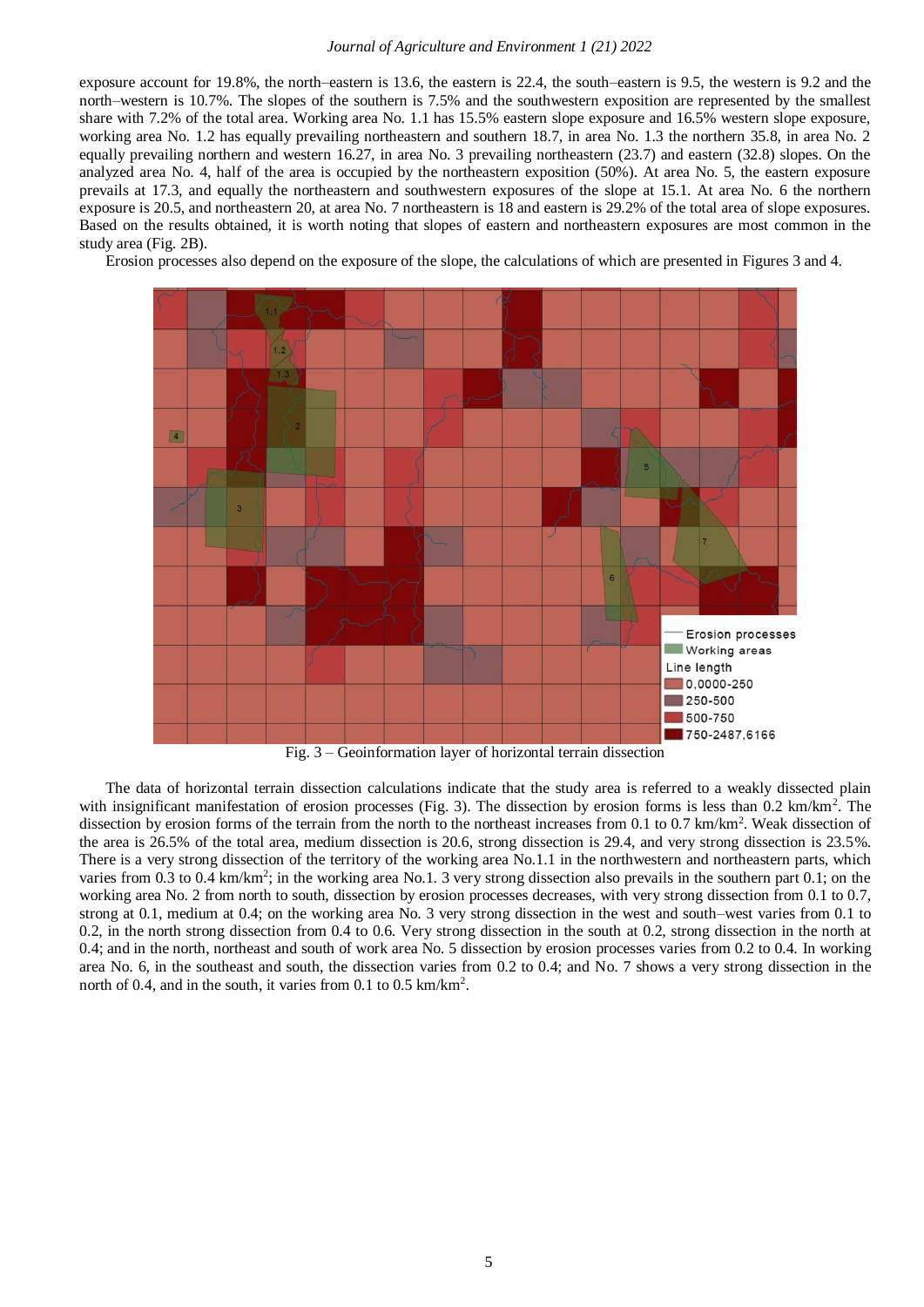#### *Journal of Agriculture and Environment 1 (21) 2022*

exposure account for 19.8%, the north–eastern is 13.6, the eastern is 22.4, the south–eastern is 9.5, the western is 9.2 and the north–western is 10.7%. The slopes of the southern is 7.5% and the southwestern exposition are represented by the smallest share with 7.2% of the total area. Working area No. 1.1 has 15.5% eastern slope exposure and 16.5% western slope exposure, working area No. 1.2 has equally prevailing northeastern and southern 18.7, in area No. 1.3 the northern 35.8, in area No. 2 equally prevailing northern and western 16.27, in area No. 3 prevailing northeastern (23.7) and eastern (32.8) slopes. On the analyzed area No. 4, half of the area is occupied by the northeastern exposition (50%). At area No. 5, the eastern exposure prevails at 17.3, and equally the northeastern and southwestern exposures of the slope at 15.1. At area No. 6 the northern exposure is 20.5, and northeastern 20, at area No. 7 northeastern is 18 and eastern is 29.2% of the total area of slope exposures. Based on the results obtained, it is worth noting that slopes of eastern and northeastern exposures are most common in the study area (Fig. 2B).

Erosion processes also depend on the exposure of the slope, the calculations of which are presented in Figures 3 and 4.



Fig. 3 – Geoinformation layer of horizontal terrain dissection

The data of horizontal terrain dissection calculations indicate that the study area is referred to a weakly dissected plain with insignificant manifestation of erosion processes (Fig. 3). The dissection by erosion forms is less than 0.2 km/km<sup>2</sup>. The dissection by erosion forms of the terrain from the north to the northeast increases from 0.1 to 0.7 km/km<sup>2</sup>. Weak dissection of the area is 26.5% of the total area, medium dissection is 20.6, strong dissection is 29.4, and very strong dissection is 23.5%. There is a very strong dissection of the territory of the working area No.1.1 in the northwestern and northeastern parts, which varies from 0.3 to 0.4 km/km<sup>2</sup>; in the working area No.1. 3 very strong dissection also prevails in the southern part 0.1; on the working area No. 2 from north to south, dissection by erosion processes decreases, with very strong dissection from 0.1 to 0.7, strong at 0.1, medium at 0.4; on the working area No. 3 very strong dissection in the west and south–west varies from 0.1 to 0.2, in the north strong dissection from 0.4 to 0.6. Very strong dissection in the south at 0.2, strong dissection in the north at 0.4; and in the north, northeast and south of work area No. 5 dissection by erosion processes varies from 0.2 to 0.4. In working area No. 6, in the southeast and south, the dissection varies from 0.2 to 0.4; and No. 7 shows a very strong dissection in the north of 0.4, and in the south, it varies from 0.1 to 0.5 km/km<sup>2</sup>.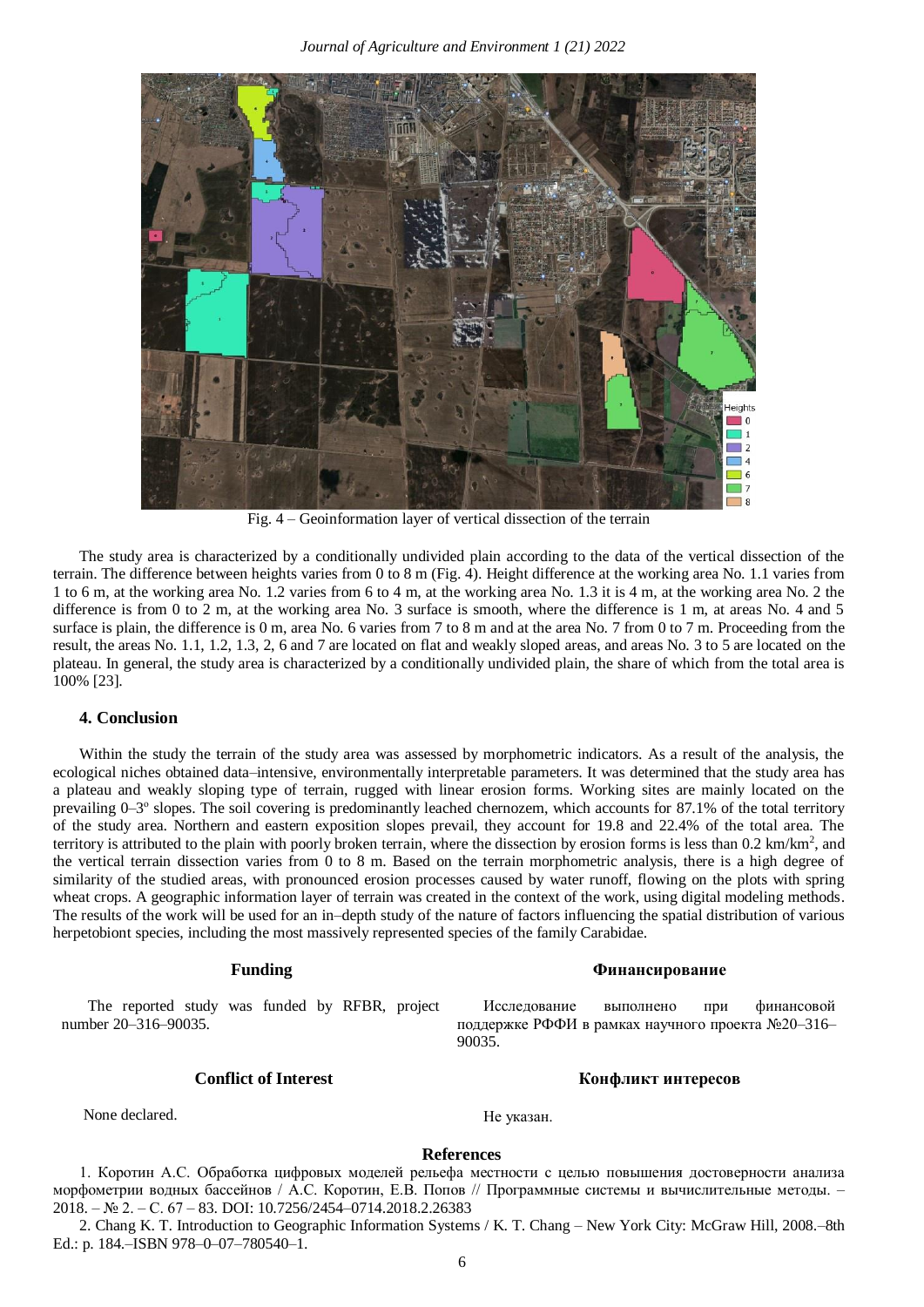

Fig. 4 – Geoinformation layer of vertical dissection of the terrain

The study area is characterized by a conditionally undivided plain according to the data of the vertical dissection of the terrain. The difference between heights varies from 0 to 8 m (Fig. 4). Height difference at the working area No. 1.1 varies from 1 to 6 m, at the working area No. 1.2 varies from 6 to 4 m, at the working area No. 1.3 it is 4 m, at the working area No. 2 the difference is from 0 to 2 m, at the working area No. 3 surface is smooth, where the difference is 1 m, at areas No. 4 and 5 surface is plain, the difference is 0 m, area No. 6 varies from 7 to 8 m and at the area No. 7 from 0 to 7 m. Proceeding from the result, the areas No. 1.1, 1.2, 1.3, 2, 6 and 7 are located on flat and weakly sloped areas, and areas No. 3 to 5 are located on the plateau. In general, the study area is characterized by a conditionally undivided plain, the share of which from the total area is 100% [23].

#### **4. Conclusion**

Within the study the terrain of the study area was assessed by morphometric indicators. As a result of the analysis, the ecological niches obtained data–intensive, environmentally interpretable parameters. It was determined that the study area has a plateau and weakly sloping type of terrain, rugged with linear erosion forms. Working sites are mainly located on the prevailing 0–3° slopes. The soil covering is predominantly leached chernozem, which accounts for 87.1% of the total territory of the study area. Northern and eastern exposition slopes prevail, they account for 19.8 and 22.4% of the total area. The territory is attributed to the plain with poorly broken terrain, where the dissection by erosion forms is less than 0.2 km/km<sup>2</sup>, and the vertical terrain dissection varies from 0 to 8 m. Based on the terrain morphometric analysis, there is a high degree of similarity of the studied areas, with pronounced erosion processes caused by water runoff, flowing on the plots with spring wheat crops. A geographic information layer of terrain was created in the context of the work, using digital modeling methods. The results of the work will be used for an in–depth study of the nature of factors influencing the spatial distribution of various herpetobiont species, including the most massively represented species of the family Carabidae.

The reported study was funded by RFBR, project number 20–316–90035.

None declared. He указан.

#### **References**

1. Коротин А.С. Обработка цифровых моделей рельефа местности с целью повышения достоверности анализа морфометрии водных бассейнов / А.С. Коротин, Е.В. Попов // Программные системы и вычислительные методы. – 2018. – № 2. – С. 67 – 83. DOI: 10.7256/2454–0714.2018.2.26383

2. Chang K. T. Introduction to Geographic Information Systems / K. T. Chang – New York City: McGraw Hill, 2008.–8th Ed.: p. 184.–ISBN 978–0–07–780540–1.

## **Funding Финансирование**

Исследование выполнено при финансовой поддержке РФФИ в рамках научного проекта №20–316– 90035.

### **Conflict of Interest Конфликт интересов**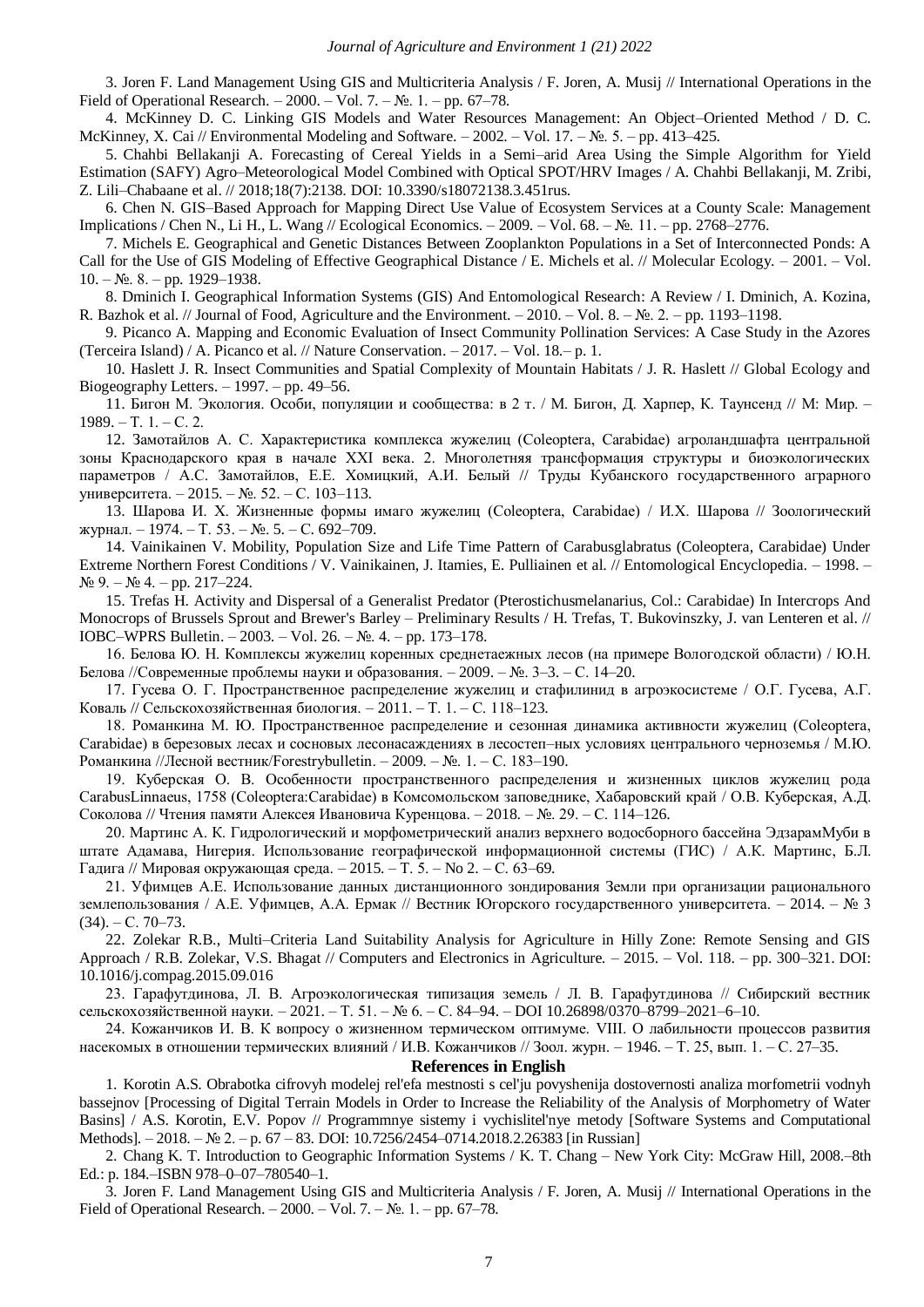3. Joren F. Land Management Using GIS and Multicriteria Analysis / F. Joren, A. Musij // International Operations in the Field of Operational Research. – 2000. – Vol. 7. –  $\mathbb{N}_2$ . 1. – pp. 67–78.

4. McKinney D. C. Linking GIS Models and Water Resources Management: An Object–Oriented Method / D. C. McKinney, X. Cai // Environmental Modeling and Software. – 2002. – Vol. 17. – №. 5. – pp. 413–425.

5. Chahbi Bellakanji A. Forecasting of Cereal Yields in a Semi–arid Area Using the Simple Algorithm for Yield Estimation (SAFY) Agro–Meteorological Model Combined with Optical SPOT/HRV Images / A. Chahbi Bellakanji, M. Zribi, Z. Lili–Chabaane et al. // 2018;18(7):2138. DOI: 10.3390/s18072138.3.451rus.

6. Chen N. GIS–Based Approach for Mapping Direct Use Value of Ecosystem Services at a County Scale: Management Implications / Chen N., Li H., L. Wang // Ecological Economics. – 2009. – Vol. 68. – №. 11. – pp. 2768–2776.

7. Michels E. Geographical and Genetic Distances Between Zooplankton Populations in a Set of Interconnected Ponds: A Call for the Use of GIS Modeling of Effective Geographical Distance / E. Michels et al. // Molecular Ecology. – 2001. – Vol.  $10. - N_2$ . 8. – pp. 1929–1938.

8. Dminich I. Geographical Information Systems (GIS) And Entomological Research: A Review / I. Dminich, A. Kozina, R. Bazhok et al. // Journal of Food, Agriculture and the Environment. – 2010. – Vol. 8. – №. 2. – pp. 1193–1198.

9. Picanco A. Mapping and Economic Evaluation of Insect Community Pollination Services: A Case Study in the Azores (Terceira Island) / A. Picanco et al. // Nature Conservation. – 2017. – Vol. 18.– p. 1.

10. Haslett J. R. Insect Communities and Spatial Complexity of Mountain Habitats / J. R. Haslett // Global Ecology and Biogeography Letters. – 1997. – pp. 49–56.

11. Бигон М. Экология. Особи, популяции и сообщества: в 2 т. / М. Бигон, Д. Харпер, К. Таунсенд // М: Мир. –  $1989. - T. 1. - C. 2.$ 

12. Замотайлов А. С. Характеристика комплекса жужелиц (Coleoptera, Carabidae) агроландшафта центральной зоны Краснодарского края в начале XXI века. 2. Многолетняя трансформация структуры и биоэкологических параметров / А.С. Замотайлов, Е.Е. Хомицкий, А.И. Белый // Труды Кубанского государственного аграрного университета. – 2015. – №. 52. – С. 103–113.

13. Шарова И. Х. Жизненные формы имаго жужелиц (Coleoptera, Carabidae) / И.Х. Шарова // Зоологический журнал. – 1974. – Т. 53. – №. 5. – С. 692–709.

14. Vainikainen V. Mobility, Population Size and Life Time Pattern of Carabusglabratus (Coleoptera, Carabidae) Under Extreme Northern Forest Conditions / V. Vainikainen, J. Itamies, E. Pulliainen et al. // Entomological Encyclopedia. – 1998. –  $N_2$  9. –  $N_2$  4. – pp. 217–224.

15. Trefas H. Activity and Dispersal of a Generalist Predator (Pterostichusmelanarius, Col.: Carabidae) In Intercrops And Monocrops of Brussels Sprout and Brewer's Barley – Preliminary Results / H. Trefas, T. Bukovinszky, J. van Lenteren et al. // IOBC–WPRS Bulletin. – 2003. – Vol. 26. – №. 4. – pp. 173–178.

16. Белова Ю. Н. Комплексы жужелиц коренных среднетаежных лесов (на примере Вологодской области) / Ю.Н. Белова //Современные проблемы науки и образования. – 2009. – №. 3–3. – С. 14–20.

17. Гусева О. Г. Пространственное распределение жужелиц и стафилинид в агроэкосистеме / О.Г. Гусева, А.Г. Коваль // Сельскохозяйственная биология. – 2011. – Т. 1. – С. 118–123.

18. Романкина М. Ю. Пространственное распределение и сезонная динамика активности жужелиц (Coleoptera, Carabidae) в березовых лесах и сосновых лесонасаждениях в лесостеп–ных условиях центрального черноземья / М.Ю. Романкина //Лесной вестник/Forestrybulletin. – 2009. – №. 1. – С. 183–190.

19. Куберская О. В. Особенности пространственного распределения и жизненных циклов жужелиц рода CarabusLinnaeus, 1758 (Coleoptera:Carabidae) в Комсомольском заповеднике, Хабаровский край / О.В. Куберская, А.Д. Соколова // Чтения памяти Алексея Ивановича Куренцова. – 2018. – №. 29. – С. 114–126.

20. Мартинс А. К. Гидрологический и морфометрический анализ верхнего водосборного бассейна ЭдзарамМуби в штате Адамава, Нигерия. Использование географической информационной системы (ГИС) / А.К. Мартинс, Б.Л. Гадига // Мировая окружающая среда. – 2015. – Т. 5. – No 2. – С. 63–69.

21. Уфимцев А.Е. Использование данных дистанционного зондирования Земли при организации рационального землепользования / А.Е. Уфимцев, А.А. Ермак // Вестник Югорского государственного университета. – 2014. – № 3  $(34)$ . – C. 70–73.

22. Zolekar R.B., Multi–Criteria Land Suitability Analysis for Agriculture in Hilly Zone: Remote Sensing and GIS Approach / R.B. Zolekar, V.S. Bhagat // Computers and Electronics in Agriculture. – 2015. – Vol. 118. – pp. 300–321. DOI: 10.1016/j.compag.2015.09.016

23. Гарафутдинова, Л. В. Агроэкологическая типизация земель / Л. В. Гарафутдинова // Сибирский вестник сельскохозяйственной науки. – 2021. – Т. 51. – № 6. – С. 84–94. – DOI 10.26898/0370–8799–2021–6–10.

24. Кожанчиков И. В. К вопросу о жизненном термическом оптимуме. VIII. О лабильности процессов развития насекомых в отношении термических влияний / И.В. Кожанчиков // Зоол. журн. – 1946. – Т. 25, вып. 1. – С. 27–35.

**References in English**

1. Korotin A.S. Obrabotka cifrovyh modelej rel'efa mestnosti s cel'ju povyshenija dostovernosti analiza morfometrii vodnyh bassejnov [Processing of Digital Terrain Models in Order to Increase the Reliability of the Analysis of Morphometry of Water Basins] / A.S. Korotin, E.V. Popov // Programmnye sistemy i vychislitel'nye metody [Software Systems and Computational Methods]. – 2018. – № 2. – p. 67 – 83. DOI: 10.7256/2454–0714.2018.2.26383 [in Russian]

2. Chang K. T. Introduction to Geographic Information Systems / K. T. Chang – New York City: McGraw Hill, 2008.–8th Ed.: p. 184.–ISBN 978–0–07–780540–1.

3. Joren F. Land Management Using GIS and Multicriteria Analysis / F. Joren, A. Musij // International Operations in the Field of Operational Research. – 2000. – Vol. 7. – №. 1. – pp. 67–78.